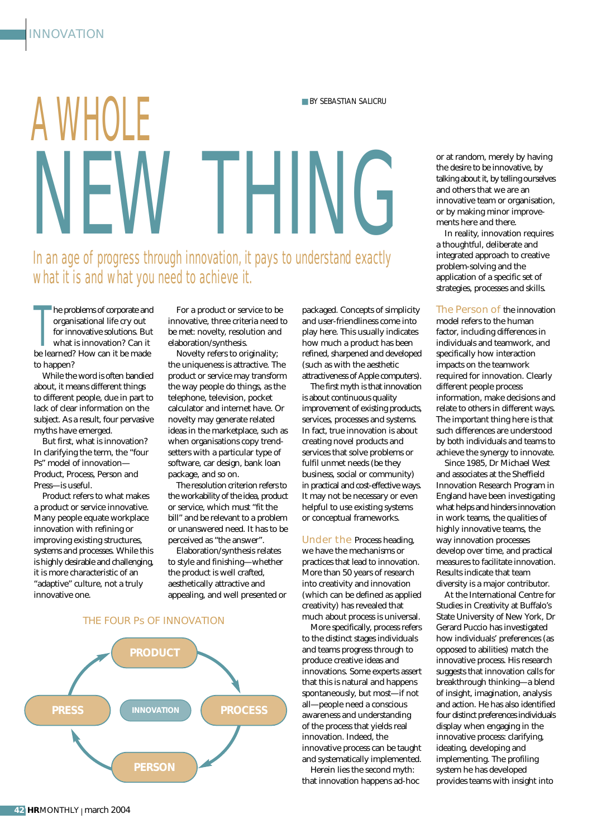## A WHOLE NEW THING ■ BY SEBASTIAN SALICRU In an age of progress through innovation, it pays to understand exactly what it is and what you need to achieve it.

he problems of corporate and organisational life cry out<br>for innovative solutions. Bu<br>what is innovation? Can it<br>be learned? How can it be made he problems of corporate and organisational life cry out for innovative solutions. But what is innovation? Can it to happen?

While the word is often bandied about, it means different things to different people, due in part to lack of clear information on the subject. As a result, four pervasive myths have emerged.

But first, what is innovation? In clarifying the term, the "four Ps" model of innovation— Product, Process, Person and Press—is useful.

Product refers to what makes a product or service innovative. Many people equate workplace innovation with refining or improving existing structures, systems and processes. While this is highly desirable and challenging, it is more characteristic of an "adaptive" culture, not a truly innovative one.

For a product or service to be innovative, three criteria need to be met: novelty, resolution and elaboration/synthesis.

Novelty refers to originality; the uniqueness is attractive. The product or service may transform the way people do things, as the telephone, television, pocket calculator and internet have. Or novelty may generate related ideas in the marketplace, such as when organisations copy trendsetters with a particular type of software, car design, bank loan package, and so on.

The resolution criterion refers to the workability of the idea, product or service, which must "fit the bill" and be relevant to a problem or unanswered need. It has to be perceived as "the answer".

Elaboration/synthesis relates to style and finishing—whether the product is well crafted, aesthetically attractive and appealing, and well presented or

THE FOUR Ps OF INNOVATION



packaged. Concepts of simplicity and user-friendliness come into play here. This usually indicates how much a product has been refined, sharpened and developed (such as with the aesthetic attractiveness of Apple computers).

The first myth is that innovation is about continuous quality improvement of existing products, services, processes and systems. In fact, true innovation is about creating novel products and services that solve problems or fulfil unmet needs (be they business, social or community) in practical and cost-effective ways. It may not be necessary or even helpful to use existing systems or conceptual frameworks.

Under the Process heading, we have the mechanisms or practices that lead to innovation. More than 50 years of research into creativity and innovation (which can be defined as applied creativity) has revealed that much about process is universal.

More specifically, process refers to the distinct stages individuals and teams progress through to produce creative ideas and innovations. Some experts assert that this is natural and happens spontaneously, but most—if not all—people need a conscious awareness and understanding of the process that yields real innovation. Indeed, the innovative process can be taught and systematically implemented.

Herein lies the second myth: that innovation happens ad-hoc

or at random, merely by having the desire to be innovative, by talking about it, by telling ourselves and others that we are an innovative team or organisation, or by making minor improvements here and there.

In reality, innovation requires a thoughtful, deliberate and integrated approach to creative problem-solving and the application of a specific set of strategies, processes and skills.

The Person of the innovation model refers to the human factor, including differences in individuals and teamwork, and specifically how interaction impacts on the teamwork required for innovation. Clearly different people process information, make decisions and relate to others in different ways. The important thing here is that such differences are understood by both individuals and teams to achieve the synergy to innovate.

Since 1985, Dr Michael West and associates at the Sheffield Innovation Research Program in England have been investigating what helps and hinders innovation in work teams, the qualities of highly innovative teams, the way innovation processes develop over time, and practical measures to facilitate innovation. Results indicate that team diversity is a major contributor.

At the International Centre for Studies in Creativity at Buffalo's State University of New York, Dr Gerard Puccio has investigated how individuals' preferences (as opposed to abilities) match the innovative process. His research suggests that innovation calls for breakthrough thinking—a blend of insight, imagination, analysis and action. He has also identified four distinct preferences individuals display when engaging in the innovative process: clarifying, ideating, developing and implementing. The profiling system he has developed provides teams with insight into